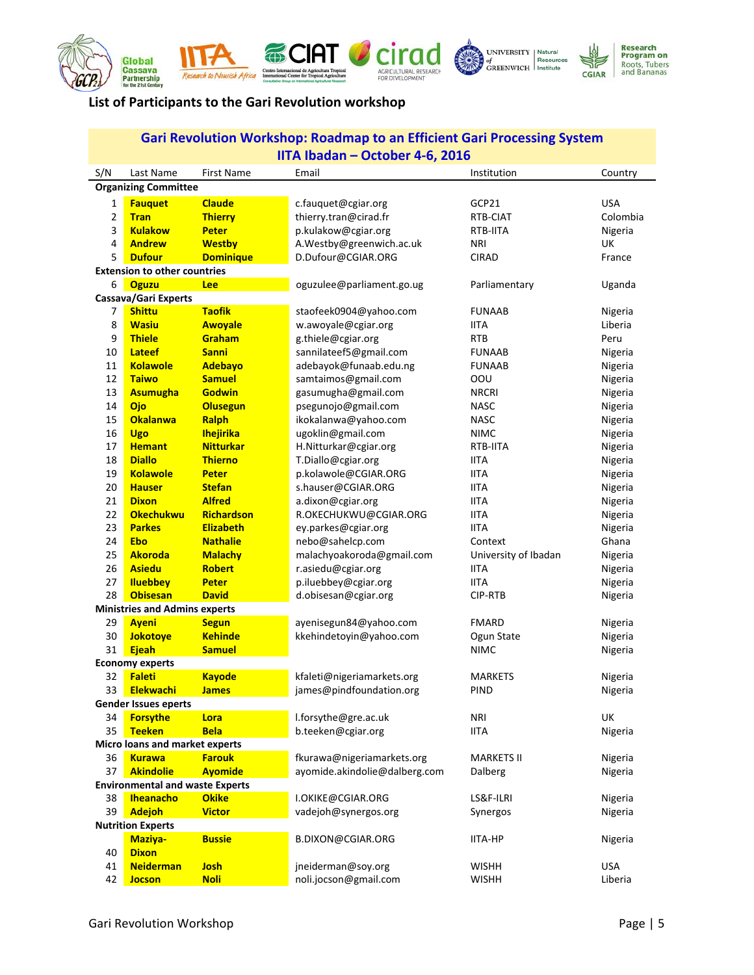









## **List of Participants to the Gari Revolution workshop**

| <b>Gari Revolution Workshop: Roadmap to an Efficient Gari Processing System</b>         |                                      |                           |                                             |                            |                    |  |  |  |  |  |
|-----------------------------------------------------------------------------------------|--------------------------------------|---------------------------|---------------------------------------------|----------------------------|--------------------|--|--|--|--|--|
| IITA Ibadan - October 4-6, 2016                                                         |                                      |                           |                                             |                            |                    |  |  |  |  |  |
| S/N                                                                                     | Last Name                            | <b>First Name</b>         | Email                                       | Institution                | Country            |  |  |  |  |  |
| <b>Organizing Committee</b>                                                             |                                      |                           |                                             |                            |                    |  |  |  |  |  |
| 1                                                                                       | <b>Fauquet</b>                       | <b>Claude</b>             | c.fauquet@cgiar.org                         | GCP21                      | <b>USA</b>         |  |  |  |  |  |
| $\overline{2}$                                                                          | <b>Tran</b>                          | <b>Thierry</b>            | thierry.tran@cirad.fr                       | RTB-CIAT                   | Colombia           |  |  |  |  |  |
| 3                                                                                       | <b>Kulakow</b>                       | <b>Peter</b>              | p.kulakow@cgiar.org                         | RTB-IITA                   | Nigeria            |  |  |  |  |  |
| 4                                                                                       | <b>Andrew</b>                        | <b>Westby</b>             | A.Westby@greenwich.ac.uk                    | NRI                        | <b>UK</b>          |  |  |  |  |  |
| 5                                                                                       | <b>Dufour</b>                        | <b>Dominique</b>          | D.Dufour@CGIAR.ORG                          | <b>CIRAD</b>               | France             |  |  |  |  |  |
| <b>Extension to other countries</b>                                                     |                                      |                           |                                             |                            |                    |  |  |  |  |  |
| 6<br><b>Oguzu</b><br>oguzulee@parliament.go.ug<br>Uganda<br><b>Lee</b><br>Parliamentary |                                      |                           |                                             |                            |                    |  |  |  |  |  |
| Cassava/Gari Experts                                                                    |                                      |                           |                                             |                            |                    |  |  |  |  |  |
| 7                                                                                       | <b>Shittu</b>                        | <b>Taofik</b>             | staofeek0904@yahoo.com                      | <b>FUNAAB</b>              | Nigeria            |  |  |  |  |  |
| 8                                                                                       | <b>Wasiu</b>                         | <b>Awoyale</b>            | w.awoyale@cgiar.org                         | <b>IITA</b>                | Liberia            |  |  |  |  |  |
| 9                                                                                       | <b>Thiele</b>                        | Graham                    | g.thiele@cgiar.org                          | <b>RTB</b>                 | Peru               |  |  |  |  |  |
| 10                                                                                      | <b>Lateef</b>                        | <b>Sanni</b>              | sannilateef5@gmail.com                      | <b>FUNAAB</b>              | Nigeria            |  |  |  |  |  |
| 11                                                                                      | <b>Kolawole</b>                      | <b>Adebayo</b>            | adebayok@funaab.edu.ng                      | <b>FUNAAB</b>              | Nigeria            |  |  |  |  |  |
| 12                                                                                      | <b>Taiwo</b>                         | <b>Samuel</b>             | samtaimos@gmail.com                         | OOU                        | Nigeria            |  |  |  |  |  |
| 13                                                                                      | <b>Asumugha</b>                      | <b>Godwin</b>             | gasumugha@gmail.com                         | <b>NRCRI</b>               | Nigeria            |  |  |  |  |  |
| 14                                                                                      | Ojo<br><b>Okalanwa</b>               | <b>Olusegun</b>           | psegunojo@gmail.com                         | <b>NASC</b><br><b>NASC</b> | Nigeria            |  |  |  |  |  |
| 15<br>16                                                                                |                                      | Ralph<br><b>Ihejirika</b> | ikokalanwa@yahoo.com                        | <b>NIMC</b>                | Nigeria            |  |  |  |  |  |
| 17                                                                                      | <b>Ugo</b><br><b>Hemant</b>          | <b>Nitturkar</b>          | ugoklin@gmail.com<br>H.Nitturkar@cgiar.org  | RTB-IITA                   | Nigeria            |  |  |  |  |  |
| 18                                                                                      | <b>Diallo</b>                        | <b>Thierno</b>            | T.Diallo@cgiar.org                          | <b>IITA</b>                | Nigeria<br>Nigeria |  |  |  |  |  |
| 19                                                                                      | <b>Kolawole</b>                      | <b>Peter</b>              | p.kolawole@CGIAR.ORG                        | <b>IITA</b>                | Nigeria            |  |  |  |  |  |
| 20                                                                                      | <b>Hauser</b>                        | <b>Stefan</b>             | s.hauser@CGIAR.ORG                          | <b>IITA</b>                | Nigeria            |  |  |  |  |  |
| 21                                                                                      | <b>Dixon</b>                         | <b>Alfred</b>             | a.dixon@cgiar.org                           | <b>IITA</b>                | Nigeria            |  |  |  |  |  |
| 22                                                                                      | <b>Okechukwu</b>                     | <b>Richardson</b>         | R.OKECHUKWU@CGIAR.ORG                       | <b>IITA</b>                | Nigeria            |  |  |  |  |  |
| 23                                                                                      | <b>Parkes</b>                        | <b>Elizabeth</b>          | ey.parkes@cgiar.org                         | <b>IITA</b>                | Nigeria            |  |  |  |  |  |
| 24                                                                                      | <b>Ebo</b>                           | <b>Nathalie</b>           | nebo@sahelcp.com                            | Context                    | Ghana              |  |  |  |  |  |
| 25                                                                                      | <b>Akoroda</b>                       | <b>Malachy</b>            | malachyoakoroda@gmail.com                   | University of Ibadan       | Nigeria            |  |  |  |  |  |
| 26                                                                                      | <b>Asiedu</b>                        | <b>Robert</b>             | r.asiedu@cgiar.org                          | <b>IITA</b>                | Nigeria            |  |  |  |  |  |
| 27                                                                                      | <b>Iluebbey</b>                      | <b>Peter</b>              | p.iluebbey@cgiar.org                        | <b>IITA</b>                | Nigeria            |  |  |  |  |  |
| 28                                                                                      | <b>Obisesan</b>                      | <b>David</b>              | d.obisesan@cgiar.org                        | CIP-RTB                    | Nigeria            |  |  |  |  |  |
|                                                                                         | <b>Ministries and Admins experts</b> |                           |                                             |                            |                    |  |  |  |  |  |
| 29                                                                                      | <b>Ayeni</b>                         | <b>Segun</b>              | ayenisegun84@yahoo.com                      | <b>FMARD</b>               | Nigeria            |  |  |  |  |  |
| 30                                                                                      | <b>Jokotoye</b>                      | <b>Kehinde</b>            | kkehindetoyin@yahoo.com                     | Ogun State                 | Nigeria            |  |  |  |  |  |
| 31                                                                                      | Ejeah                                | <b>Samuel</b>             |                                             | <b>NIMC</b>                | Nigeria            |  |  |  |  |  |
|                                                                                         | <b>Economy experts</b>               |                           |                                             |                            |                    |  |  |  |  |  |
| 32                                                                                      | <b>Faleti</b>                        | <b>Kayode</b>             | kfaleti@nigeriamarkets.org                  | <b>MARKETS</b>             | Nigeria            |  |  |  |  |  |
| 33                                                                                      | <b>Elekwachi</b>                     | <b>James</b>              | james@pindfoundation.org                    | <b>PIND</b>                | Nigeria            |  |  |  |  |  |
| <b>Gender Issues eperts</b>                                                             |                                      |                           |                                             |                            |                    |  |  |  |  |  |
| 34                                                                                      | <b>Forsythe</b>                      | Lora                      | l.forsythe@gre.ac.uk                        | <b>NRI</b>                 | <b>UK</b>          |  |  |  |  |  |
| 35                                                                                      | <b>Teeken</b>                        | <b>Bela</b>               | b.teeken@cgiar.org                          | <b>IITA</b>                | Nigeria            |  |  |  |  |  |
|                                                                                         | Micro loans and market experts       |                           |                                             |                            |                    |  |  |  |  |  |
| 36                                                                                      | <b>Kurawa</b>                        | <b>Farouk</b>             | fkurawa@nigeriamarkets.org                  | <b>MARKETS II</b>          | Nigeria            |  |  |  |  |  |
| 37                                                                                      | <b>Akindolie</b>                     | <b>Ayomide</b>            | ayomide.akindolie@dalberg.com               | Dalberg                    | Nigeria            |  |  |  |  |  |
| <b>Environmental and waste Experts</b>                                                  |                                      |                           |                                             |                            |                    |  |  |  |  |  |
| 38                                                                                      | <b>Iheanacho</b>                     | <b>Okike</b>              | I.OKIKE@CGIAR.ORG                           | LS&F-ILRI                  | Nigeria            |  |  |  |  |  |
| 39                                                                                      | <b>Adejoh</b>                        | <b>Victor</b>             | vadejoh@synergos.org                        | Synergos                   | Nigeria            |  |  |  |  |  |
| <b>Nutrition Experts</b>                                                                |                                      |                           |                                             |                            |                    |  |  |  |  |  |
|                                                                                         | Maziya-                              | <b>Bussie</b>             | B.DIXON@CGIAR.ORG                           | IITA-HP                    | Nigeria            |  |  |  |  |  |
| 40<br>41                                                                                | <b>Dixon</b><br><b>Neiderman</b>     | <b>Josh</b>               |                                             | <b>WISHH</b>               | <b>USA</b>         |  |  |  |  |  |
| 42                                                                                      | <b>Jocson</b>                        | <b>Noli</b>               | jneiderman@soy.org<br>noli.jocson@gmail.com | <b>WISHH</b>               | Liberia            |  |  |  |  |  |
|                                                                                         |                                      |                           |                                             |                            |                    |  |  |  |  |  |